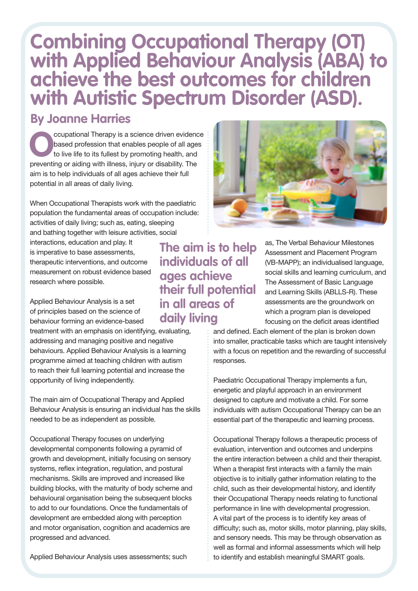## **Combining Occupational Therapy (OT) with Applied Behaviour Analysis (ABA) to achieve the best outcomes for children with Autistic Spectrum Disorder (ASD).**

## **By Joanne Harries**

**O**ccupational Therapy is a science driven evidence based profession that enables people of all ages to live life to its fullest by promoting health, and preventing or aiding with illness, injury or disability. The aim is to help individuals of all ages achieve their full potential in all areas of daily living.

When Occupational Therapists work with the paediatric population the fundamental areas of occupation include: activities of daily living; such as, eating, sleeping and bathing together with leisure activities, social

interactions, education and play. It is imperative to base assessments, therapeutic interventions, and outcome measurement on robust evidence based research where possible.

Applied Behaviour Analysis is a set of principles based on the science of behaviour forming an evidence-based

treatment with an emphasis on identifying, evaluating, addressing and managing positive and negative behaviours. Applied Behaviour Analysis is a learning programme aimed at teaching children with autism to reach their full learning potential and increase the opportunity of living independently.

The main aim of Occupational Therapy and Applied Behaviour Analysis is ensuring an individual has the skills needed to be as independent as possible.

Occupational Therapy focuses on underlying developmental components following a pyramid of growth and development, initially focusing on sensory systems, reflex integration, regulation, and postural mechanisms. Skills are improved and increased like building blocks, with the maturity of body scheme and behavioural organisation being the subsequent blocks to add to our foundations. Once the fundamentals of development are embedded along with perception and motor organisation, cognition and academics are progressed and advanced.

Applied Behaviour Analysis uses assessments; such

**The aim is to help individuals of all ages achieve their full potential in all areas of daily living**



as, The Verbal Behaviour Milestones Assessment and Placement Program (VB-MAPP); an individualised language, social skills and learning curriculum, and The Assessment of Basic Language and Learning Skills (ABLLS-R). These assessments are the groundwork on which a program plan is developed focusing on the deficit areas identified

and defined. Each element of the plan is broken down into smaller, practicable tasks which are taught intensively with a focus on repetition and the rewarding of successful responses.

Paediatric Occupational Therapy implements a fun, energetic and playful approach in an environment designed to capture and motivate a child. For some individuals with autism Occupational Therapy can be an essential part of the therapeutic and learning process.

Occupational Therapy follows a therapeutic process of evaluation, intervention and outcomes and underpins the entire interaction between a child and their therapist. When a therapist first interacts with a family the main objective is to initially gather information relating to the child, such as their developmental history, and identify their Occupational Therapy needs relating to functional performance in line with developmental progression. A vital part of the process is to identify key areas of difficulty; such as, motor skills, motor planning, play skills, and sensory needs. This may be through observation as well as formal and informal assessments which will help to identify and establish meaningful SMART goals.